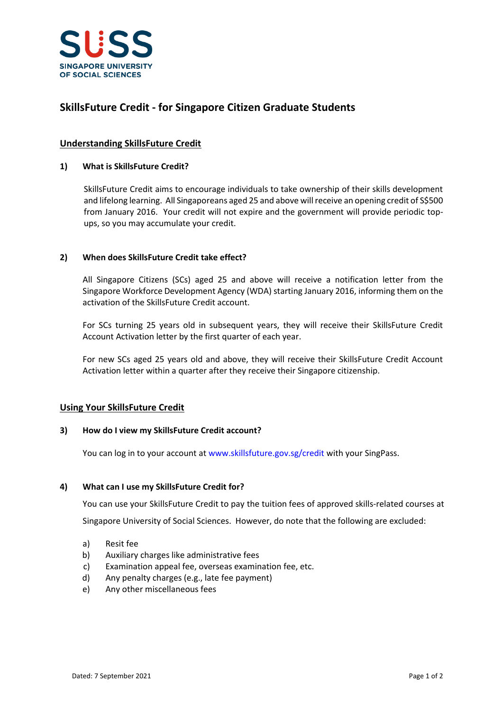

## **SkillsFuture Credit - for Singapore Citizen Graduate Students**

### **Understanding SkillsFuture Credit**

### **1) What is SkillsFuture Credit?**

SkillsFuture Credit aims to encourage individuals to take ownership of their skills development and lifelong learning. All Singaporeans aged 25 and above will receive an opening credit of S\$500 from January 2016. Your credit will not expire and the government will provide periodic topups, so you may accumulate your credit.

### **2) When does SkillsFuture Credit take effect?**

All Singapore Citizens (SCs) aged 25 and above will receive a notification letter from the Singapore Workforce Development Agency (WDA) starting January 2016, informing them on the activation of the SkillsFuture Credit account.

For SCs turning 25 years old in subsequent years, they will receive their SkillsFuture Credit Account Activation letter by the first quarter of each year.

For new SCs aged 25 years old and above, they will receive their SkillsFuture Credit Account Activation letter within a quarter after they receive their Singapore citizenship.

### **Using Your SkillsFuture Credit**

#### **3) How do I view my SkillsFuture Credit account?**

You can log in to your account at <www.skillsfuture.gov.sg/credit> with your SingPass.

#### **4) What can I use my SkillsFuture Credit for?**

You can use your SkillsFuture Credit to pay the tuition fees of approved skills-related courses at Singapore University of Social Sciences. However, do note that the following are excluded:

- a) Resit fee
- b) Auxiliary charges like administrative fees
- c) Examination appeal fee, overseas examination fee, etc.
- d) Any penalty charges (e.g., late fee payment)
- e) Any other miscellaneous fees